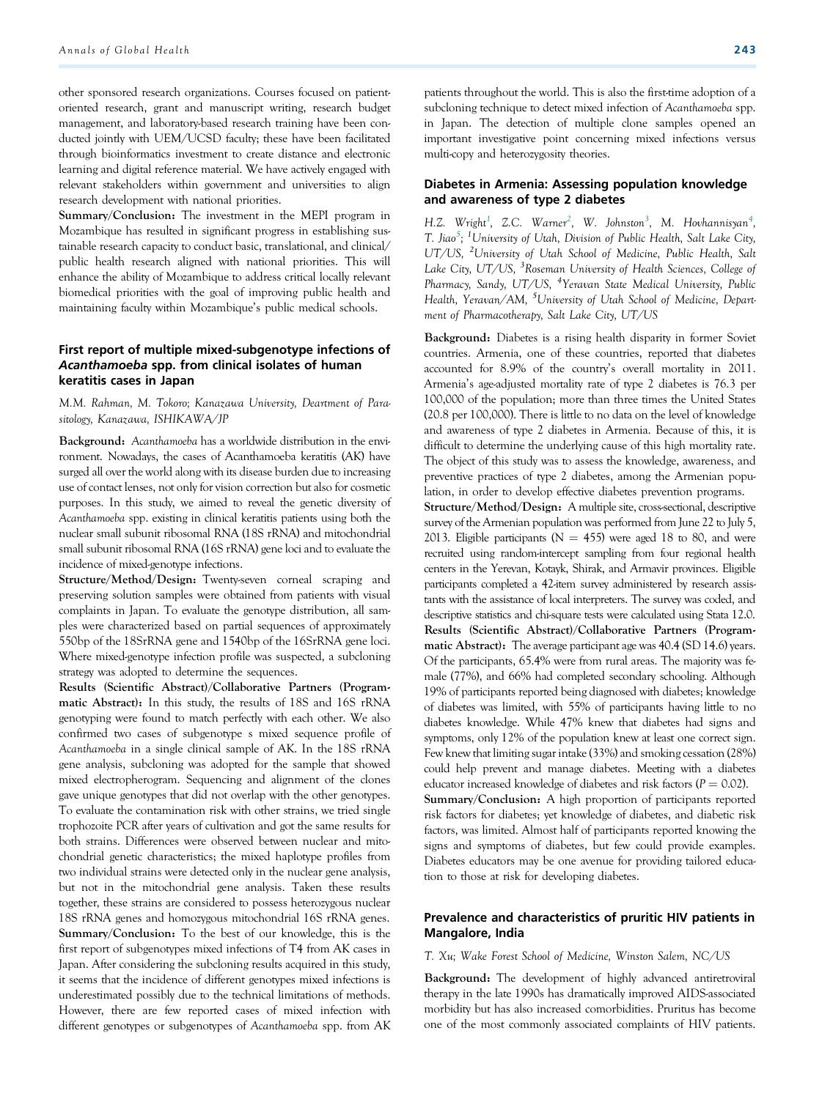other sponsored research organizations. Courses focused on patientoriented research, grant and manuscript writing, research budget management, and laboratory-based research training have been conducted jointly with UEM/UCSD faculty; these have been facilitated through bioinformatics investment to create distance and electronic learning and digital reference material. We have actively engaged with relevant stakeholders within government and universities to align research development with national priorities.

Summary/Conclusion: The investment in the MEPI program in Mozambique has resulted in significant progress in establishing sustainable research capacity to conduct basic, translational, and clinical/ public health research aligned with national priorities. This will enhance the ability of Mozambique to address critical locally relevant biomedical priorities with the goal of improving public health and maintaining faculty within Mozambique's public medical schools.

## First report of multiple mixed-subgenotype infections of Acanthamoeba spp. from clinical isolates of human keratitis cases in Japan

M.M. Rahman, M. Tokoro; Kanazawa University, Deartment of Parasitology, Kanazawa, ISHIKAWA/JP

Background: Acanthamoeba has a worldwide distribution in the environment. Nowadays, the cases of Acanthamoeba keratitis (AK) have surged all over the world along with its disease burden due to increasing use of contact lenses, not only for vision correction but also for cosmetic purposes. In this study, we aimed to reveal the genetic diversity of Acanthamoeba spp. existing in clinical keratitis patients using both the nuclear small subunit ribosomal RNA (18S rRNA) and mitochondrial small subunit ribosomal RNA (16S rRNA) gene loci and to evaluate the incidence of mixed-genotype infections.

Structure/Method/Design: Twenty-seven corneal scraping and preserving solution samples were obtained from patients with visual complaints in Japan. To evaluate the genotype distribution, all samples were characterized based on partial sequences of approximately 550bp of the 18SrRNA gene and 1540bp of the 16SrRNA gene loci. Where mixed-genotype infection profile was suspected, a subcloning strategy was adopted to determine the sequences.

Results (Scientific Abstract)/Collaborative Partners (Programmatic Abstract): In this study, the results of 18S and 16S rRNA genotyping were found to match perfectly with each other. We also confirmed two cases of subgenotype s mixed sequence profile of Acanthamoeba in a single clinical sample of AK. In the 18S rRNA gene analysis, subcloning was adopted for the sample that showed mixed electropherogram. Sequencing and alignment of the clones gave unique genotypes that did not overlap with the other genotypes. To evaluate the contamination risk with other strains, we tried single trophozoite PCR after years of cultivation and got the same results for both strains. Differences were observed between nuclear and mitochondrial genetic characteristics; the mixed haplotype profiles from two individual strains were detected only in the nuclear gene analysis, but not in the mitochondrial gene analysis. Taken these results together, these strains are considered to possess heterozygous nuclear 18S rRNA genes and homozygous mitochondrial 16S rRNA genes. Summary/Conclusion: To the best of our knowledge, this is the first report of subgenotypes mixed infections of T4 from AK cases in Japan. After considering the subcloning results acquired in this study, it seems that the incidence of different genotypes mixed infections is underestimated possibly due to the technical limitations of methods. However, there are few reported cases of mixed infection with different genotypes or subgenotypes of Acanthamoeba spp. from AK

patients throughout the world. This is also the first-time adoption of a subcloning technique to detect mixed infection of Acanthamoeba spp. in Japan. The detection of multiple clone samples opened an important investigative point concerning mixed infections versus multi-copy and heterozygosity theories.

## Diabetes in Armenia: Assessing population knowledge and awareness of type 2 diabetes

H.Z. Wright<sup>1</sup>, Z.C. Warner<sup>2</sup>, W. Johnston<sup>3</sup>, M. Hovhannisyan<sup>4</sup>, T. Jiao $^5$ ; <sup>1</sup>University of Utah, Division of Public Health, Salt Lake City, UT/US, <sup>2</sup>University of Utah School of Medicine, Public Health, Salt Lake City, UT/US, <sup>3</sup>Roseman University of Health Sciences, College of Pharmacy, Sandy, UT/US, <sup>4</sup>Yeravan State Medical University, Public Health, Yeravan/AM, <sup>5</sup>University of Utah School of Medicine, Department of Pharmacotherapy, Salt Lake City, UT/US

Background: Diabetes is a rising health disparity in former Soviet countries. Armenia, one of these countries, reported that diabetes accounted for 8.9% of the country's overall mortality in 2011. Armenia's age-adjusted mortality rate of type 2 diabetes is 76.3 per 100,000 of the population; more than three times the United States (20.8 per 100,000). There is little to no data on the level of knowledge and awareness of type 2 diabetes in Armenia. Because of this, it is difficult to determine the underlying cause of this high mortality rate. The object of this study was to assess the knowledge, awareness, and preventive practices of type 2 diabetes, among the Armenian population, in order to develop effective diabetes prevention programs. Structure/Method/Design: A multiple site, cross-sectional, descriptive survey of the Armenian population was performed from June 22 to July 5, 2013. Eligible participants ( $N = 455$ ) were aged 18 to 80, and were recruited using random-intercept sampling from four regional health centers in the Yerevan, Kotayk, Shirak, and Armavir provinces. Eligible participants completed a 42-item survey administered by research assistants with the assistance of local interpreters. The survey was coded, and descriptive statistics and chi-square tests were calculated using Stata 12.0. Results (Scientific Abstract)/Collaborative Partners (Programmatic Abstract): The average participant age was 40.4 (SD 14.6) years. Of the participants, 65.4% were from rural areas. The majority was female (77%), and 66% had completed secondary schooling. Although 19% of participants reported being diagnosed with diabetes; knowledge of diabetes was limited, with 55% of participants having little to no diabetes knowledge. While 47% knew that diabetes had signs and symptoms, only 12% of the population knew at least one correct sign. Few knew that limiting sugar intake (33%) and smoking cessation (28%) could help prevent and manage diabetes. Meeting with a diabetes educator increased knowledge of diabetes and risk factors ( $P = 0.02$ ). Summary/Conclusion: A high proportion of participants reported risk factors for diabetes; yet knowledge of diabetes, and diabetic risk factors, was limited. Almost half of participants reported knowing the signs and symptoms of diabetes, but few could provide examples. Diabetes educators may be one avenue for providing tailored education to those at risk for developing diabetes.

## Prevalence and characteristics of pruritic HIV patients in Mangalore, India

T. Xu; Wake Forest School of Medicine, Winston Salem, NC/US

Background: The development of highly advanced antiretroviral therapy in the late 1990s has dramatically improved AIDS-associated morbidity but has also increased comorbidities. Pruritus has become one of the most commonly associated complaints of HIV patients.